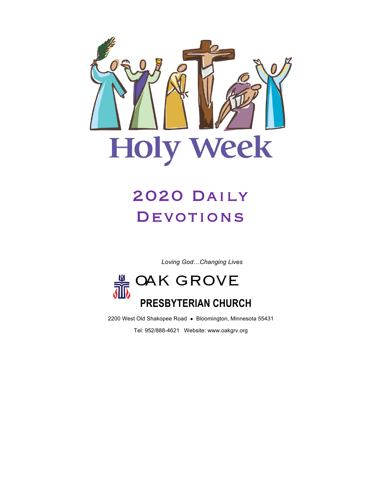

# 2020 Daily **DEVOTIONS**

*Loving God…Changing Lives*



2200 West Old Shakopee Road · Bloomington, Minnesota 55431

Tel: 952/888-4621 Website: www.oakgrv.org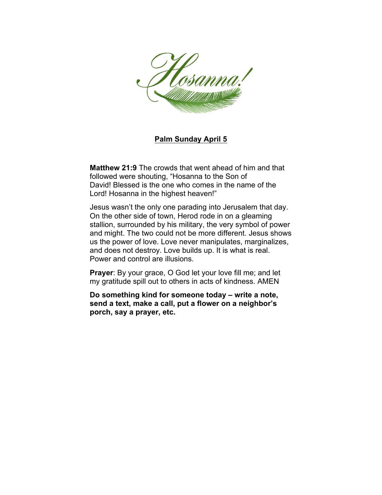

#### **Palm Sunday April 5**

**Matthew 21:9** The crowds that went ahead of him and that followed were shouting, "Hosanna to the Son of David! Blessed is the one who comes in the name of the Lord! Hosanna in the highest heaven!"

Jesus wasn't the only one parading into Jerusalem that day. On the other side of town, Herod rode in on a gleaming stallion, surrounded by his military, the very symbol of power and might. The two could not be more different. Jesus shows us the power of love. Love never manipulates, marginalizes, and does not destroy. Love builds up. It is what is real. Power and control are illusions.

**Prayer**: By your grace, O God let your love fill me; and let my gratitude spill out to others in acts of kindness. AMEN

**Do something kind for someone today – write a note, send a text, make a call, put a flower on a neighbor's porch, say a prayer, etc.**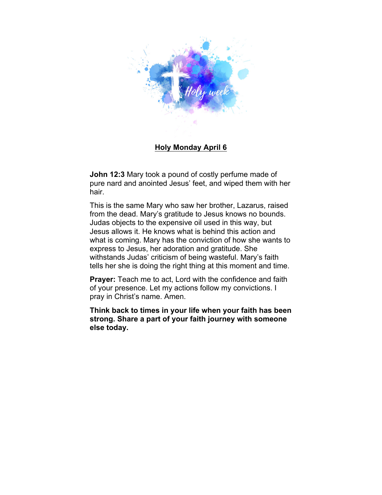

#### **Holy Monday April 6**

**John 12:3** Mary took a pound of costly perfume made of pure nard and anointed Jesus' feet, and wiped them with her hair.

This is the same Mary who saw her brother, Lazarus, raised from the dead. Mary's gratitude to Jesus knows no bounds. Judas objects to the expensive oil used in this way, but Jesus allows it. He knows what is behind this action and what is coming. Mary has the conviction of how she wants to express to Jesus, her adoration and gratitude. She withstands Judas' criticism of being wasteful. Mary's faith tells her she is doing the right thing at this moment and time.

**Prayer:** Teach me to act, Lord with the confidence and faith of your presence. Let my actions follow my convictions. I pray in Christ's name. Amen.

**Think back to times in your life when your faith has been strong. Share a part of your faith journey with someone else today.**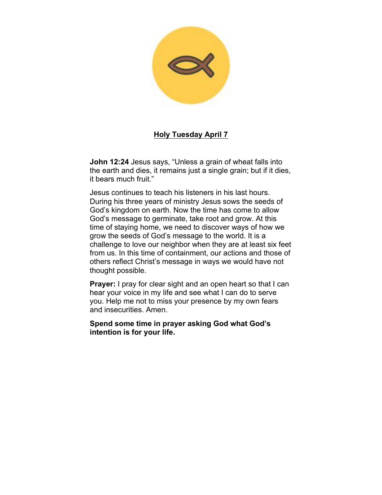

#### **Holy Tuesday April 7**

**John 12:24** Jesus says, "Unless a grain of wheat falls into the earth and dies, it remains just a single grain; but if it dies, it bears much fruit."

Jesus continues to teach his listeners in his last hours. During his three years of ministry Jesus sows the seeds of God's kingdom on earth. Now the time has come to allow God's message to germinate, take root and grow. At this time of staying home, we need to discover ways of how we grow the seeds of God's message to the world. It is a challenge to love our neighbor when they are at least six feet from us. In this time of containment, our actions and those of others reflect Christ's message in ways we would have not thought possible.

**Prayer:** I pray for clear sight and an open heart so that I can hear your voice in my life and see what I can do to serve you. Help me not to miss your presence by my own fears and insecurities. Amen.

**Spend some time in prayer asking God what God's intention is for your life.**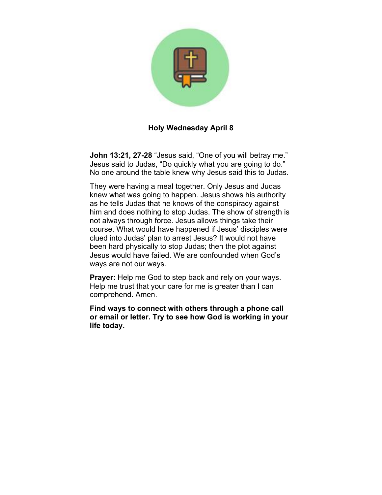

#### **Holy Wednesday April 8**

**John 13:21, 27-28** "Jesus said, "One of you will betray me." Jesus said to Judas, "Do quickly what you are going to do." No one around the table knew why Jesus said this to Judas.

They were having a meal together. Only Jesus and Judas knew what was going to happen. Jesus shows his authority as he tells Judas that he knows of the conspiracy against him and does nothing to stop Judas. The show of strength is not always through force. Jesus allows things take their course. What would have happened if Jesus' disciples were clued into Judas' plan to arrest Jesus? It would not have been hard physically to stop Judas; then the plot against Jesus would have failed. We are confounded when God's ways are not our ways.

**Prayer:** Help me God to step back and rely on your ways. Help me trust that your care for me is greater than I can comprehend. Amen.

**Find ways to connect with others through a phone call or email or letter. Try to see how God is working in your life today.**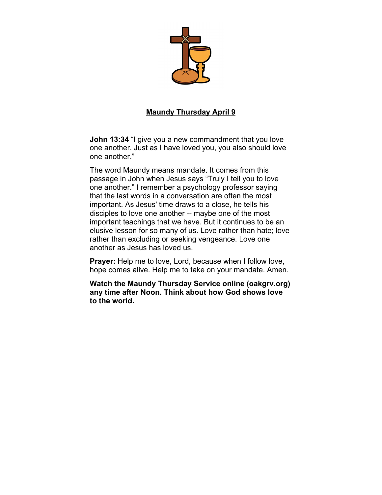

## **Maundy Thursday April 9**

**John 13:34** "I give you a new commandment that you love one another. Just as I have loved you, you also should love one another."

The word Maundy means mandate. It comes from this passage in John when Jesus says "Truly I tell you to love one another." I remember a psychology professor saying that the last words in a conversation are often the most important. As Jesus' time draws to a close, he tells his disciples to love one another -- maybe one of the most important teachings that we have. But it continues to be an elusive lesson for so many of us. Love rather than hate; love rather than excluding or seeking vengeance. Love one another as Jesus has loved us.

**Prayer:** Help me to love, Lord, because when I follow love, hope comes alive. Help me to take on your mandate. Amen.

**Watch the Maundy Thursday Service online (oakgrv.org) any time after Noon. Think about how God shows love to the world.**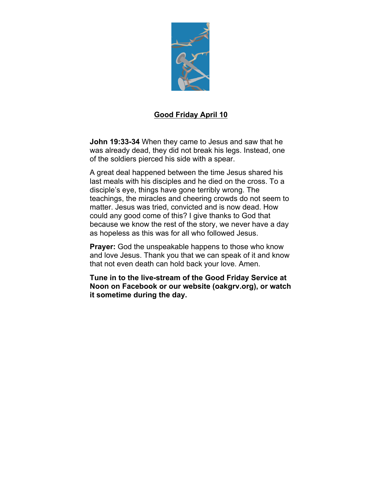

## **Good Friday April 10**

**John 19:33-34** When they came to Jesus and saw that he was already dead, they did not break his legs. Instead, one of the soldiers pierced his side with a spear.

A great deal happened between the time Jesus shared his last meals with his disciples and he died on the cross. To a disciple's eye, things have gone terribly wrong. The teachings, the miracles and cheering crowds do not seem to matter. Jesus was tried, convicted and is now dead. How could any good come of this? I give thanks to God that because we know the rest of the story, we never have a day as hopeless as this was for all who followed Jesus.

**Prayer:** God the unspeakable happens to those who know and love Jesus. Thank you that we can speak of it and know that not even death can hold back your love. Amen.

**Tune in to the live-stream of the Good Friday Service at Noon on Facebook or our website (oakgrv.org), or watch it sometime during the day.**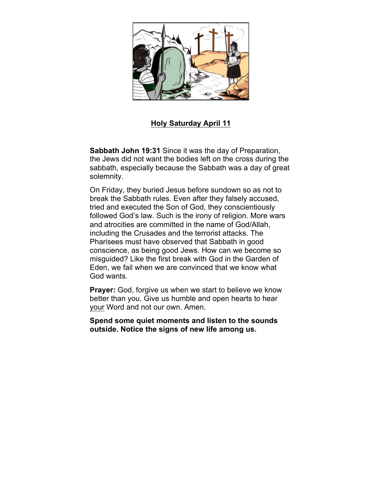

## **Holy Saturday April 11**

**Sabbath John 19:31** Since it was the day of Preparation, the Jews did not want the bodies left on the cross during the sabbath, especially because the Sabbath was a day of great solemnity.

On Friday, they buried Jesus before sundown so as not to break the Sabbath rules. Even after they falsely accused, tried and executed the Son of God, they conscientiously followed God's law. Such is the irony of religion. More wars and atrocities are committed in the name of God/Allah, including the Crusades and the terrorist attacks. The Pharisees must have observed that Sabbath in good conscience, as being good Jews. How can we become so misguided? Like the first break with God in the Garden of Eden, we fail when we are convinced that we know what God wants.

**Prayer:** God, forgive us when we start to believe we know better than you. Give us humble and open hearts to hear your Word and not our own. Amen.

**Spend some quiet moments and listen to the sounds outside. Notice the signs of new life among us.**